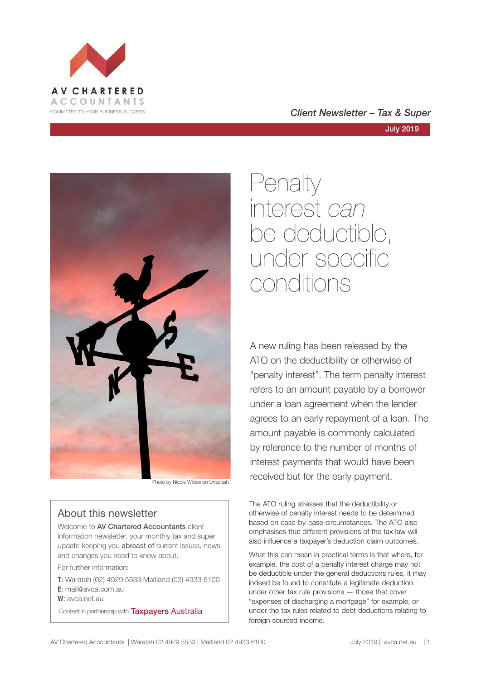



Photo by Nicole Wilcox on Unsplash

## About this newsletter

Welcome to **AV Chartered Accountants** client information newsletter, your monthly tax and super update keeping you abreast of current issues, news and changes you need to know about.

For further information:

**T**: Waratah (02) 4929 5533 Maitland (02) 4933 6100 **E**: mail@avca.com.au

**W**: avca.net.au

Content in partnership with **Taxpayers Australia** 

## COMMITTED TO YOUR BUSINESS SUCCESS **COMMITTED TO YOUR BUSINESS SUCCESS**

# Penalty interest *can* be deductible, under specific conditions

A new ruling has been released by the ATO on the deductibility or otherwise of "penalty interest". The term penalty interest refers to an amount payable by a borrower under a loan agreement when the lender agrees to an early repayment of a loan. The amount payable is commonly calculated by reference to the number of months of interest payments that would have been received but for the early payment.

The ATO ruling stresses that the deductibility or otherwise of penalty interest needs to be determined based on case-by-case circumstances. The ATO also emphasises that different provisions of the tax law will also influence a taxpayer's deduction claim outcomes.

What this can mean in practical terms is that where, for example, the cost of a penalty interest charge may not be deductible under the general deductions rules, it may indeed be found to constitute a legitimate deduction under other tax rule provisions — those that cover "expenses of discharging a mortgage" for example, or under the tax rules related to debt deductions relating to foreign sourced income.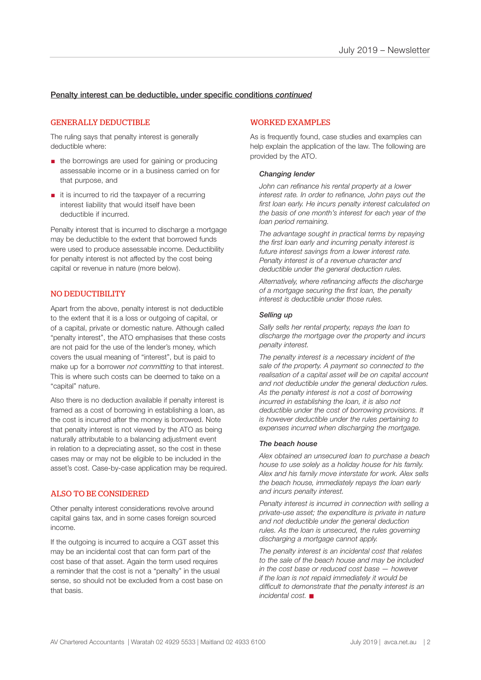### Penalty interest can be deductible, under specific conditions *continued*

### GENERALLY DEDUCTIBLE

The ruling says that penalty interest is generally deductible where:

- the borrowings are used for gaining or producing assessable income or in a business carried on for that purpose, and
- it is incurred to rid the taxpayer of a recurring interest liability that would itself have been deductible if incurred.

Penalty interest that is incurred to discharge a mortgage may be deductible to the extent that borrowed funds were used to produce assessable income. Deductibility for penalty interest is not affected by the cost being capital or revenue in nature (more below).

### NO DEDUCTIBILITY

Apart from the above, penalty interest is not deductible to the extent that it is a loss or outgoing of capital, or of a capital, private or domestic nature. Although called "penalty interest", the ATO emphasises that these costs are not paid for the use of the lender's money, which covers the usual meaning of "interest", but is paid to make up for a borrower *not committing* to that interest. This is where such costs can be deemed to take on a "capital" nature.

Also there is no deduction available if penalty interest is framed as a cost of borrowing in establishing a loan, as the cost is incurred after the money is borrowed. Note that penalty interest is not viewed by the ATO as being naturally attributable to a balancing adjustment event in relation to a depreciating asset, so the cost in these cases may or may not be eligible to be included in the asset's cost. Case-by-case application may be required.

### ALSO TO BE CONSIDERED

Other penalty interest considerations revolve around capital gains tax, and in some cases foreign sourced income.

If the outgoing is incurred to acquire a CGT asset this may be an incidental cost that can form part of the cost base of that asset. Again the term used requires a reminder that the cost is not a "penalty" in the usual sense, so should not be excluded from a cost base on that basis.

### WORKED EXAMPLES

As is frequently found, case studies and examples can help explain the application of the law. The following are provided by the ATO.

#### *Changing lender*

*John can refinance his rental property at a lower interest rate. In order to refinance, John pays out the first loan early. He incurs penalty interest calculated on the basis of one month's interest for each year of the loan period remaining.*

*The advantage sought in practical terms by repaying the first loan early and incurring penalty interest is future interest savings from a lower interest rate. Penalty interest is of a revenue character and deductible under the general deduction rules.*

*Alternatively, where refinancing affects the discharge of a mortgage securing the first loan, the penalty interest is deductible under those rules.* 

#### *Selling up*

*Sally sells her rental property, repays the loan to discharge the mortgage over the property and incurs penalty interest.*

*The penalty interest is a necessary incident of the sale of the property. A payment so connected to the realisation of a capital asset will be on capital account and not deductible under the general deduction rules. As the penalty interest is not a cost of borrowing incurred in establishing the loan, it is also not deductible under the cost of borrowing provisions. It is however deductible under the rules pertaining to expenses incurred when discharging the mortgage.* 

#### *The beach house*

*Alex obtained an unsecured loan to purchase a beach house to use solely as a holiday house for his family. Alex and his family move interstate for work. Alex sells the beach house, immediately repays the loan early and incurs penalty interest.*

*Penalty interest is incurred in connection with selling a private-use asset; the expenditure is private in nature and not deductible under the general deduction rules. As the loan is unsecured, the rules governing discharging a mortgage cannot apply.*

*The penalty interest is an incidental cost that relates to the sale of the beach house and may be included in the cost base or reduced cost base — however if the loan is not repaid immediately it would be difficult to demonstrate that the penalty interest is an incidental cost.* n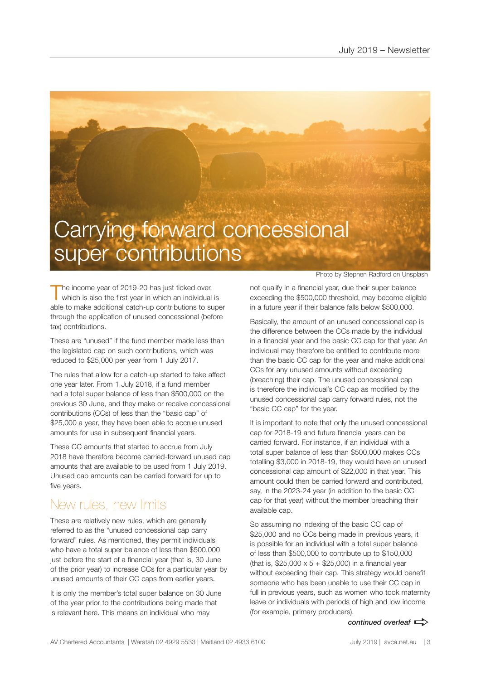# Carrying forward concessional super contributions

The income year of 2019-20 has just ticked over,<br>which is also the first year in which an individual is able to make additional catch-up contributions to super through the application of unused concessional (before tax) contributions.

These are "unused" if the fund member made less than the legislated cap on such contributions, which was reduced to \$25,000 per year from 1 July 2017.

The rules that allow for a catch-up started to take affect one year later. From 1 July 2018, if a fund member had a total super balance of less than \$500,000 on the previous 30 June, and they make or receive concessional contributions (CCs) of less than the "basic cap" of \$25,000 a year, they have been able to accrue unused amounts for use in subsequent financial years.

These CC amounts that started to accrue from July 2018 have therefore become carried-forward unused cap amounts that are available to be used from 1 July 2019. Unused cap amounts can be carried forward for up to five years.

# New rules, new limits

These are relatively new rules, which are generally referred to as the "unused concessional cap carry forward" rules. As mentioned, they permit individuals who have a total super balance of less than \$500,000 just before the start of a financial year (that is, 30 June of the prior year) to increase CCs for a particular year by unused amounts of their CC caps from earlier years.

It is only the member's total super balance on 30 June of the year prior to the contributions being made that is relevant here. This means an individual who may

Photo by Stephen Radford on Unsplash

not qualify in a financial year, due their super balance exceeding the \$500,000 threshold, may become eligible in a future year if their balance falls below \$500,000.

Basically, the amount of an unused concessional cap is the difference between the CCs made by the individual in a financial year and the basic CC cap for that year. An individual may therefore be entitled to contribute more than the basic CC cap for the year and make additional CCs for any unused amounts without exceeding (breaching) their cap. The unused concessional cap is therefore the individual's CC cap as modified by the unused concessional cap carry forward rules, not the "basic CC cap" for the year.

It is important to note that only the unused concessional cap for 2018-19 and future financial years can be carried forward. For instance, if an individual with a total super balance of less than \$500,000 makes CCs totalling \$3,000 in 2018-19, they would have an unused concessional cap amount of \$22,000 in that year. This amount could then be carried forward and contributed, say, in the 2023-24 year (in addition to the basic CC cap for that year) without the member breaching their available cap.

So assuming no indexing of the basic CC cap of \$25,000 and no CCs being made in previous years, it is possible for an individual with a total super balance of less than \$500,000 to contribute up to \$150,000 (that is,  $$25,000 \times 5 + $25,000$ ) in a financial year without exceeding their cap. This strategy would benefit someone who has been unable to use their CC cap in full in previous years, such as women who took maternity leave or individuals with periods of high and low income (for example, primary producers).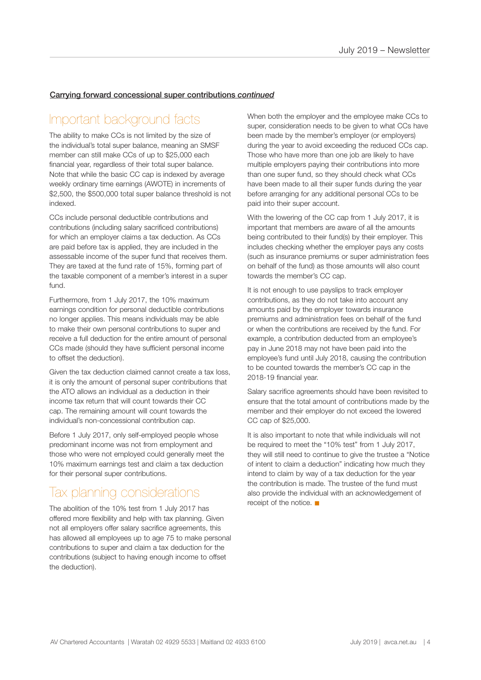### Carrying forward concessional super contributions *continued*

# Important background facts

The ability to make CCs is not limited by the size of the individual's total super balance, meaning an SMSF member can still make CCs of up to \$25,000 each financial year, regardless of their total super balance. Note that while the basic CC cap is indexed by average weekly ordinary time earnings (AWOTE) in increments of \$2,500, the \$500,000 total super balance threshold is not indexed.

CCs include personal deductible contributions and contributions (including salary sacrificed contributions) for which an employer claims a tax deduction. As CCs are paid before tax is applied, they are included in the assessable income of the super fund that receives them. They are taxed at the fund rate of 15%, forming part of the taxable component of a member's interest in a super fund.

Furthermore, from 1 July 2017, the 10% maximum earnings condition for personal deductible contributions no longer applies. This means individuals may be able to make their own personal contributions to super and receive a full deduction for the entire amount of personal CCs made (should they have sufficient personal income to offset the deduction).

Given the tax deduction claimed cannot create a tax loss, it is only the amount of personal super contributions that the ATO allows an individual as a deduction in their income tax return that will count towards their CC cap. The remaining amount will count towards the individual's non-concessional contribution cap.

Before 1 July 2017, only self-employed people whose predominant income was not from employment and those who were not employed could generally meet the 10% maximum earnings test and claim a tax deduction for their personal super contributions.

## Tax planning considerations

The abolition of the 10% test from 1 July 2017 has offered more flexibility and help with tax planning. Given not all employers offer salary sacrifice agreements, this has allowed all employees up to age 75 to make personal contributions to super and claim a tax deduction for the contributions (subject to having enough income to offset the deduction).

When both the employer and the employee make CCs to super, consideration needs to be given to what CCs have been made by the member's employer (or employers) during the year to avoid exceeding the reduced CCs cap. Those who have more than one job are likely to have multiple employers paying their contributions into more than one super fund, so they should check what CCs have been made to all their super funds during the year before arranging for any additional personal CCs to be paid into their super account.

With the lowering of the CC cap from 1 July 2017, it is important that members are aware of all the amounts being contributed to their fund(s) by their employer. This includes checking whether the employer pays any costs (such as insurance premiums or super administration fees on behalf of the fund) as those amounts will also count towards the member's CC cap.

It is not enough to use payslips to track employer contributions, as they do not take into account any amounts paid by the employer towards insurance premiums and administration fees on behalf of the fund or when the contributions are received by the fund. For example, a contribution deducted from an employee's pay in June 2018 may not have been paid into the employee's fund until July 2018, causing the contribution to be counted towards the member's CC cap in the 2018-19 financial year.

Salary sacrifice agreements should have been revisited to ensure that the total amount of contributions made by the member and their employer do not exceed the lowered CC cap of \$25,000.

It is also important to note that while individuals will not be required to meet the "10% test" from 1 July 2017, they will still need to continue to give the trustee a "Notice of intent to claim a deduction" indicating how much they intend to claim by way of a tax deduction for the year the contribution is made. The trustee of the fund must also provide the individual with an acknowledgement of receipt of the notice.  $\blacksquare$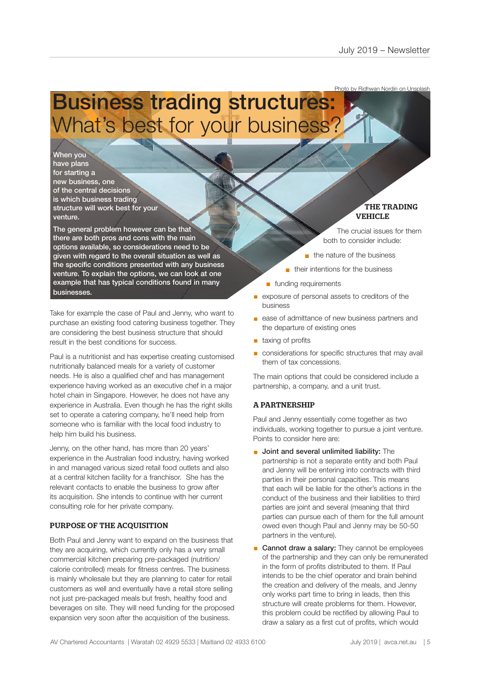Photo by Ridhwan Nordin on Unsplash

# Business trading structures: What's best for your business?

When you have plans for starting a new business, one of the central decisions is which business trading structure will work best for your venture.

The general problem however can be that there are both pros and cons with the main options available, so considerations need to be given with regard to the overall situation as well as the specific conditions presented with any business venture. To explain the options, we can look at one example that has typical conditions found in many businesses.

Take for example the case of Paul and Jenny, who want to purchase an existing food catering business together. They are considering the best business structure that should result in the best conditions for success.

Paul is a nutritionist and has expertise creating customised nutritionally balanced meals for a variety of customer needs. He is also a qualified chef and has management experience having worked as an executive chef in a major hotel chain in Singapore. However, he does not have any experience in Australia. Even though he has the right skills set to operate a catering company, he'll need help from someone who is familiar with the local food industry to help him build his business.

Jenny, on the other hand, has more than 20 years' experience in the Australian food industry, having worked in and managed various sized retail food outlets and also at a central kitchen facility for a franchisor. She has the relevant contacts to enable the business to grow after its acquisition. She intends to continue with her current consulting role for her private company.

### PURPOSE OF THE ACQUISITION

Both Paul and Jenny want to expand on the business that they are acquiring, which currently only has a very small commercial kitchen preparing pre-packaged (nutrition/ calorie controlled) meals for fitness centres. The business is mainly wholesale but they are planning to cater for retail customers as well and eventually have a retail store selling not just pre-packaged meals but fresh, healthy food and beverages on site. They will need funding for the proposed expansion very soon after the acquisition of the business.

THE TRADING VEHICLE

The crucial issues for them both to consider include:

- $n$  the nature of the business
- $\blacksquare$  their intentions for the business
- n funding requirements
- exposure of personal assets to creditors of the business
- ease of admittance of new business partners and the departure of existing ones
- taxing of profits
- § considerations for specific structures that may avail them of tax concessions.

The main options that could be considered include a partnership, a company, and a unit trust.

### A PARTNERSHIP

Paul and Jenny essentially come together as two individuals, working together to pursue a joint venture. Points to consider here are:

- § Joint and several unlimited liability: The partnership is not a separate entity and both Paul and Jenny will be entering into contracts with third parties in their personal capacities. This means that each will be liable for the other's actions in the conduct of the business and their liabilities to third parties are joint and several (meaning that third parties can pursue each of them for the full amount owed even though Paul and Jenny may be 50-50 partners in the venture).
- Cannot draw a salary: They cannot be employees of the partnership and they can only be remunerated in the form of profits distributed to them. If Paul intends to be the chief operator and brain behind the creation and delivery of the meals, and Jenny only works part time to bring in leads, then this structure will create problems for them. However, this problem could be rectified by allowing Paul to draw a salary as a first cut of profits, which would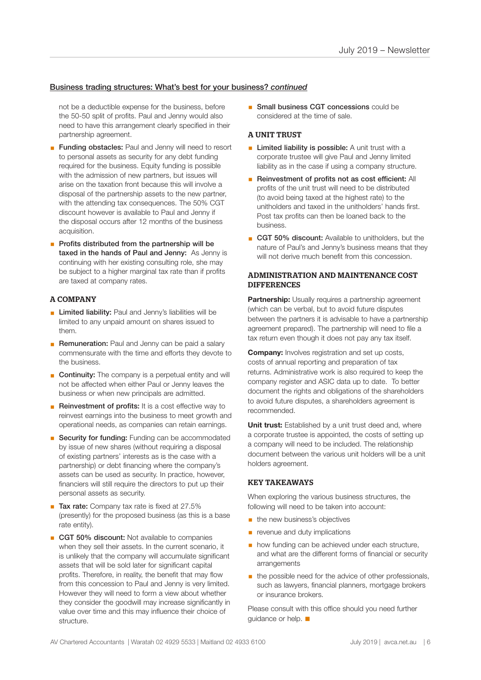### Business trading structures: What's best for your business? *continued*

not be a deductible expense for the business, before the 50-50 split of profits. Paul and Jenny would also need to have this arrangement clearly specified in their partnership agreement.

- **Example 3 Funding obstacles:** Paul and Jenny will need to resort to personal assets as security for any debt funding required for the business. Equity funding is possible with the admission of new partners, but issues will arise on the taxation front because this will involve a disposal of the partnership assets to the new partner, with the attending tax consequences. The 50% CGT discount however is available to Paul and Jenny if the disposal occurs after 12 months of the business acquisition.
- Profits distributed from the partnership will be taxed in the hands of Paul and Jenny: As Jenny is continuing with her existing consulting role, she may be subject to a higher marginal tax rate than if profits are taxed at company rates.

### A COMPANY

- **E** Limited liability: Paul and Jenny's liabilities will be limited to any unpaid amount on shares issued to them.
- **Remuneration:** Paul and Jenny can be paid a salary commensurate with the time and efforts they devote to the business.
- **Continuity:** The company is a perpetual entity and will not be affected when either Paul or Jenny leaves the business or when new principals are admitted.
- Reinvestment of profits: It is a cost effective way to reinvest earnings into the business to meet growth and operational needs, as companies can retain earnings.
- Security for funding: Funding can be accommodated by issue of new shares (without requiring a disposal of existing partners' interests as is the case with a partnership) or debt financing where the company's assets can be used as security. In practice, however, financiers will still require the directors to put up their personal assets as security.
- Tax rate: Company tax rate is fixed at 27.5% (presently) for the proposed business (as this is a base rate entity).
- CGT 50% discount: Not available to companies when they sell their assets. In the current scenario, it is unlikely that the company will accumulate significant assets that will be sold later for significant capital profits. Therefore, in reality, the benefit that may flow from this concession to Paul and Jenny is very limited. However they will need to form a view about whether they consider the goodwill may increase significantly in value over time and this may influence their choice of structure.

■ Small business CGT concessions could be considered at the time of sale.

### A UNIT TRUST

- **Example 2** Limited liability is possible: A unit trust with a corporate trustee will give Paul and Jenny limited liability as in the case if using a company structure.
- Reinvestment of profits not as cost efficient: All profits of the unit trust will need to be distributed (to avoid being taxed at the highest rate) to the unitholders and taxed in the unitholders' hands first. Post tax profits can then be loaned back to the business.
- CGT 50% discount: Available to unitholders, but the nature of Paul's and Jenny's business means that they will not derive much benefit from this concession.

### ADMINISTRATION AND MAINTENANCE COST **DIFFERENCES**

**Partnership:** Usually requires a partnership agreement (which can be verbal, but to avoid future disputes between the partners it is advisable to have a partnership agreement prepared). The partnership will need to file a tax return even though it does not pay any tax itself.

**Company:** Involves registration and set up costs, costs of annual reporting and preparation of tax returns. Administrative work is also required to keep the company register and ASIC data up to date. To better document the rights and obligations of the shareholders to avoid future disputes, a shareholders agreement is recommended.

**Unit trust:** Established by a unit trust deed and, where a corporate trustee is appointed, the costs of setting up a company will need to be included. The relationship document between the various unit holders will be a unit holders agreement.

### KEY TAKEAWAYS

When exploring the various business structures, the following will need to be taken into account:

- **the new business's objectives**
- **•** revenue and duty implications
- **how funding can be achieved under each structure,** and what are the different forms of financial or security arrangements
- the possible need for the advice of other professionals, such as lawyers, financial planners, mortgage brokers or insurance brokers.

Please consult with this office should you need further guidance or help.  $\blacksquare$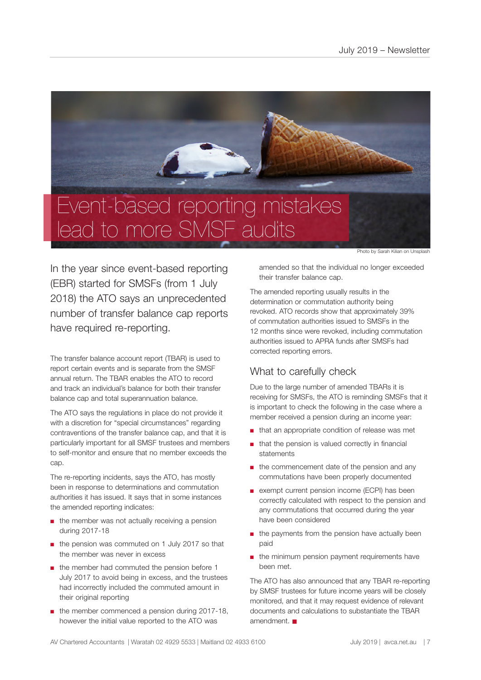

lead to more SMSF audits

Photo by Sarah Kilian on Unsplash

In the year since event-based reporting (EBR) started for SMSFs (from 1 July 2018) the ATO says an unprecedented number of transfer balance cap reports have required re-reporting.

The transfer balance account report (TBAR) is used to report certain events and is separate from the SMSF annual return. The TBAR enables the ATO to record and track an individual's balance for both their transfer balance cap and total superannuation balance.

The ATO says the regulations in place do not provide it with a discretion for "special circumstances" regarding contraventions of the transfer balance cap, and that it is particularly important for all SMSF trustees and members to self-monitor and ensure that no member exceeds the cap.

The re-reporting incidents, says the ATO, has mostly been in response to determinations and commutation authorities it has issued. It says that in some instances the amended reporting indicates:

- the member was not actually receiving a pension during 2017-18
- the pension was commuted on 1 July 2017 so that the member was never in excess
- the member had commuted the pension before 1 July 2017 to avoid being in excess, and the trustees had incorrectly included the commuted amount in their original reporting
- the member commenced a pension during 2017-18, however the initial value reported to the ATO was

amended so that the individual no longer exceeded their transfer balance cap.

The amended reporting usually results in the determination or commutation authority being revoked. ATO records show that approximately 39% of commutation authorities issued to SMSFs in the 12 months since were revoked, including commutation authorities issued to APRA funds after SMSFs had corrected reporting errors.

## What to carefully check

Due to the large number of amended TBARs it is receiving for SMSFs, the ATO is reminding SMSFs that it is important to check the following in the case where a member received a pension during an income year:

- that an appropriate condition of release was met
- that the pension is valued correctly in financial statements
- the commencement date of the pension and any commutations have been properly documented
- exempt current pension income (ECPI) has been correctly calculated with respect to the pension and any commutations that occurred during the year have been considered
- the payments from the pension have actually been paid
- the minimum pension payment requirements have been met.

The ATO has also announced that any TBAR re-reporting by SMSF trustees for future income years will be closely monitored, and that it may request evidence of relevant documents and calculations to substantiate the TBAR amendment.  $\blacksquare$